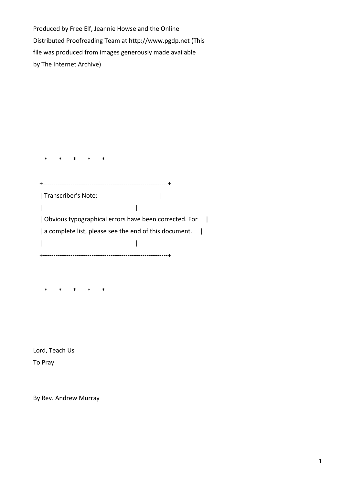Produced by Free Elf, Jeannie Howse and the Online Distributed Proofreading Team at http://www.pgdp.net (This file was produced from images generously made available by The Internet Archive)

 \* \* \* \* \* +-----------------------------------------------------------+ | Transcriber's Note: | | | | Obvious typographical errors have been corrected. For | | a complete list, please see the end of this document. | | | +-----------------------------------------------------------+

\* \* \* \* \*

Lord, Teach Us To Pray

By Rev. Andrew Murray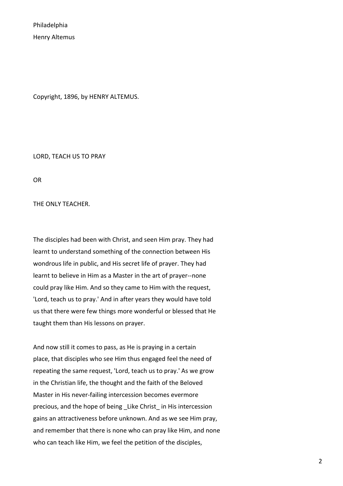Philadelphia Henry Altemus

Copyright, 1896, by HENRY ALTEMUS.

LORD, TEACH US TO PRAY

OR

THE ONLY TEACHER.

The disciples had been with Christ, and seen Him pray. They had learnt to understand something of the connection between His wondrous life in public, and His secret life of prayer. They had learnt to believe in Him as a Master in the art of prayer--none could pray like Him. And so they came to Him with the request, 'Lord, teach us to pray.' And in after years they would have told us that there were few things more wonderful or blessed that He taught them than His lessons on prayer.

And now still it comes to pass, as He is praying in a certain place, that disciples who see Him thus engaged feel the need of repeating the same request, 'Lord, teach us to pray.' As we grow in the Christian life, the thought and the faith of the Beloved Master in His never-failing intercession becomes evermore precious, and the hope of being \_Like Christ\_ in His intercession gains an attractiveness before unknown. And as we see Him pray, and remember that there is none who can pray like Him, and none who can teach like Him, we feel the petition of the disciples,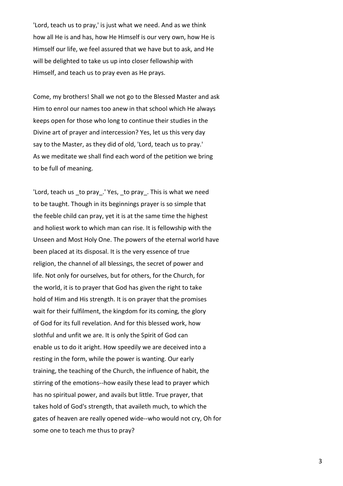'Lord, teach us to pray,' is just what we need. And as we think how all He is and has, how He Himself is our very own, how He is Himself our life, we feel assured that we have but to ask, and He will be delighted to take us up into closer fellowship with Himself, and teach us to pray even as He prays.

Come, my brothers! Shall we not go to the Blessed Master and ask Him to enrol our names too anew in that school which He always keeps open for those who long to continue their studies in the Divine art of prayer and intercession? Yes, let us this very day say to the Master, as they did of old, 'Lord, teach us to pray.' As we meditate we shall find each word of the petition we bring to be full of meaning.

'Lord, teach us \_to pray\_.' Yes, \_to pray\_. This is what we need to be taught. Though in its beginnings prayer is so simple that the feeble child can pray, yet it is at the same time the highest and holiest work to which man can rise. It is fellowship with the Unseen and Most Holy One. The powers of the eternal world have been placed at its disposal. It is the very essence of true religion, the channel of all blessings, the secret of power and life. Not only for ourselves, but for others, for the Church, for the world, it is to prayer that God has given the right to take hold of Him and His strength. It is on prayer that the promises wait for their fulfilment, the kingdom for its coming, the glory of God for its full revelation. And for this blessed work, how slothful and unfit we are. It is only the Spirit of God can enable us to do it aright. How speedily we are deceived into a resting in the form, while the power is wanting. Our early training, the teaching of the Church, the influence of habit, the stirring of the emotions--how easily these lead to prayer which has no spiritual power, and avails but little. True prayer, that takes hold of God's strength, that availeth much, to which the gates of heaven are really opened wide--who would not cry, Oh for some one to teach me thus to pray?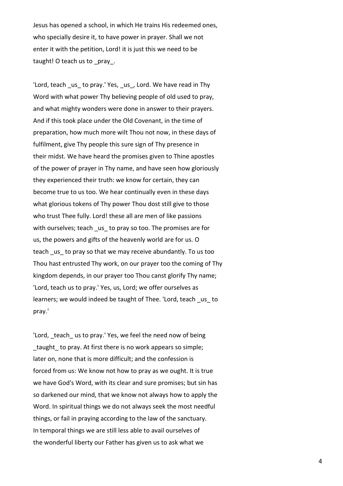Jesus has opened a school, in which He trains His redeemed ones, who specially desire it, to have power in prayer. Shall we not enter it with the petition, Lord! it is just this we need to be taught! O teach us to pray.

'Lord, teach \_us\_ to pray.' Yes, \_us\_, Lord. We have read in Thy Word with what power Thy believing people of old used to pray, and what mighty wonders were done in answer to their prayers. And if this took place under the Old Covenant, in the time of preparation, how much more wilt Thou not now, in these days of fulfilment, give Thy people this sure sign of Thy presence in their midst. We have heard the promises given to Thine apostles of the power of prayer in Thy name, and have seen how gloriously they experienced their truth: we know for certain, they can become true to us too. We hear continually even in these days what glorious tokens of Thy power Thou dost still give to those who trust Thee fully. Lord! these all are men of like passions with ourselves; teach \_us\_ to pray so too. The promises are for us, the powers and gifts of the heavenly world are for us. O teach us to pray so that we may receive abundantly. To us too Thou hast entrusted Thy work, on our prayer too the coming of Thy kingdom depends, in our prayer too Thou canst glorify Thy name; 'Lord, teach us to pray.' Yes, us, Lord; we offer ourselves as learners; we would indeed be taught of Thee. 'Lord, teach us to pray.'

'Lord, teach us to pray.' Yes, we feel the need now of being taught to pray. At first there is no work appears so simple; later on, none that is more difficult; and the confession is forced from us: We know not how to pray as we ought. It is true we have God's Word, with its clear and sure promises; but sin has so darkened our mind, that we know not always how to apply the Word. In spiritual things we do not always seek the most needful things, or fail in praying according to the law of the sanctuary. In temporal things we are still less able to avail ourselves of the wonderful liberty our Father has given us to ask what we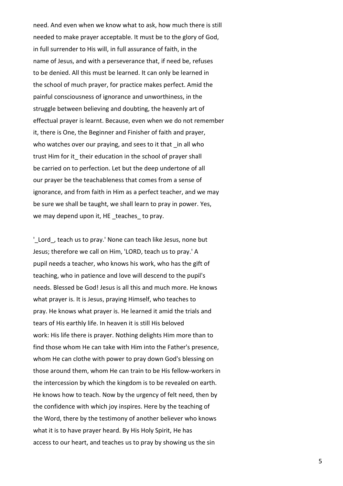need. And even when we know what to ask, how much there is still needed to make prayer acceptable. It must be to the glory of God, in full surrender to His will, in full assurance of faith, in the name of Jesus, and with a perseverance that, if need be, refuses to be denied. All this must be learned. It can only be learned in the school of much prayer, for practice makes perfect. Amid the painful consciousness of ignorance and unworthiness, in the struggle between believing and doubting, the heavenly art of effectual prayer is learnt. Because, even when we do not remember it, there is One, the Beginner and Finisher of faith and prayer, who watches over our praying, and sees to it that in all who trust Him for it their education in the school of prayer shall be carried on to perfection. Let but the deep undertone of all our prayer be the teachableness that comes from a sense of ignorance, and from faith in Him as a perfect teacher, and we may be sure we shall be taught, we shall learn to pray in power. Yes, we may depend upon it, HE \_teaches\_ to pray.

'Lord, teach us to pray.' None can teach like Jesus, none but Jesus; therefore we call on Him, 'LORD, teach us to pray.' A pupil needs a teacher, who knows his work, who has the gift of teaching, who in patience and love will descend to the pupil's needs. Blessed be God! Jesus is all this and much more. He knows what prayer is. It is Jesus, praying Himself, who teaches to pray. He knows what prayer is. He learned it amid the trials and tears of His earthly life. In heaven it is still His beloved work: His life there is prayer. Nothing delights Him more than to find those whom He can take with Him into the Father's presence, whom He can clothe with power to pray down God's blessing on those around them, whom He can train to be His fellow-workers in the intercession by which the kingdom is to be revealed on earth. He knows how to teach. Now by the urgency of felt need, then by the confidence with which joy inspires. Here by the teaching of the Word, there by the testimony of another believer who knows what it is to have prayer heard. By His Holy Spirit, He has access to our heart, and teaches us to pray by showing us the sin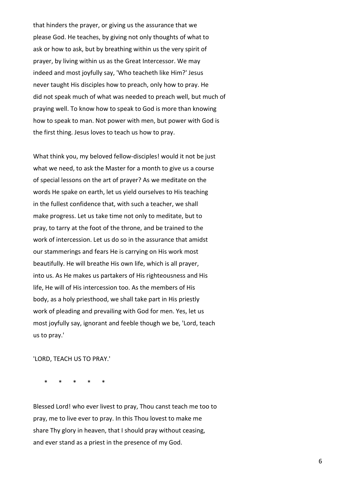that hinders the prayer, or giving us the assurance that we please God. He teaches, by giving not only thoughts of what to ask or how to ask, but by breathing within us the very spirit of prayer, by living within us as the Great Intercessor. We may indeed and most joyfully say, 'Who teacheth like Him?' Jesus never taught His disciples how to preach, only how to pray. He did not speak much of what was needed to preach well, but much of praying well. To know how to speak to God is more than knowing how to speak to man. Not power with men, but power with God is the first thing. Jesus loves to teach us how to pray.

What think you, my beloved fellow-disciples! would it not be just what we need, to ask the Master for a month to give us a course of special lessons on the art of prayer? As we meditate on the words He spake on earth, let us yield ourselves to His teaching in the fullest confidence that, with such a teacher, we shall make progress. Let us take time not only to meditate, but to pray, to tarry at the foot of the throne, and be trained to the work of intercession. Let us do so in the assurance that amidst our stammerings and fears He is carrying on His work most beautifully. He will breathe His own life, which is all prayer, into us. As He makes us partakers of His righteousness and His life, He will of His intercession too. As the members of His body, as a holy priesthood, we shall take part in His priestly work of pleading and prevailing with God for men. Yes, let us most joyfully say, ignorant and feeble though we be, 'Lord, teach us to pray.'

'LORD, TEACH US TO PRAY.'

\* \* \* \* \*

Blessed Lord! who ever livest to pray, Thou canst teach me too to pray, me to live ever to pray. In this Thou lovest to make me share Thy glory in heaven, that I should pray without ceasing, and ever stand as a priest in the presence of my God.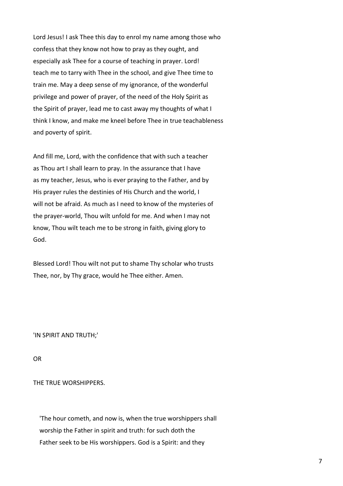Lord Jesus! I ask Thee this day to enrol my name among those who confess that they know not how to pray as they ought, and especially ask Thee for a course of teaching in prayer. Lord! teach me to tarry with Thee in the school, and give Thee time to train me. May a deep sense of my ignorance, of the wonderful privilege and power of prayer, of the need of the Holy Spirit as the Spirit of prayer, lead me to cast away my thoughts of what I think I know, and make me kneel before Thee in true teachableness and poverty of spirit.

And fill me, Lord, with the confidence that with such a teacher as Thou art I shall learn to pray. In the assurance that I have as my teacher, Jesus, who is ever praying to the Father, and by His prayer rules the destinies of His Church and the world, I will not be afraid. As much as I need to know of the mysteries of the prayer-world, Thou wilt unfold for me. And when I may not know, Thou wilt teach me to be strong in faith, giving glory to God.

Blessed Lord! Thou wilt not put to shame Thy scholar who trusts Thee, nor, by Thy grace, would he Thee either. Amen.

'IN SPIRIT AND TRUTH;'

OR

THE TRUE WORSHIPPERS.

 'The hour cometh, and now is, when the true worshippers shall worship the Father in spirit and truth: for such doth the Father seek to be His worshippers. God is a Spirit: and they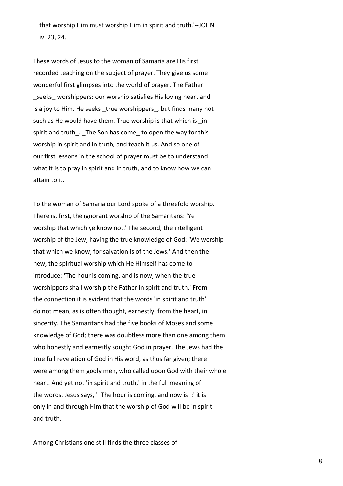that worship Him must worship Him in spirit and truth.'--JOHN iv. 23, 24.

These words of Jesus to the woman of Samaria are His first recorded teaching on the subject of prayer. They give us some wonderful first glimpses into the world of prayer. The Father seeks worshippers: our worship satisfies His loving heart and is a joy to Him. He seeks true worshippers, but finds many not such as He would have them. True worship is that which is in spirit and truth. The Son has come to open the way for this worship in spirit and in truth, and teach it us. And so one of our first lessons in the school of prayer must be to understand what it is to pray in spirit and in truth, and to know how we can attain to it.

To the woman of Samaria our Lord spoke of a threefold worship. There is, first, the ignorant worship of the Samaritans: 'Ye worship that which ye know not.' The second, the intelligent worship of the Jew, having the true knowledge of God: 'We worship that which we know; for salvation is of the Jews.' And then the new, the spiritual worship which He Himself has come to introduce: 'The hour is coming, and is now, when the true worshippers shall worship the Father in spirit and truth.' From the connection it is evident that the words 'in spirit and truth' do not mean, as is often thought, earnestly, from the heart, in sincerity. The Samaritans had the five books of Moses and some knowledge of God; there was doubtless more than one among them who honestly and earnestly sought God in prayer. The Jews had the true full revelation of God in His word, as thus far given; there were among them godly men, who called upon God with their whole heart. And yet not 'in spirit and truth,' in the full meaning of the words. Jesus says, '\_The hour is coming, and now is :' it is only in and through Him that the worship of God will be in spirit and truth.

Among Christians one still finds the three classes of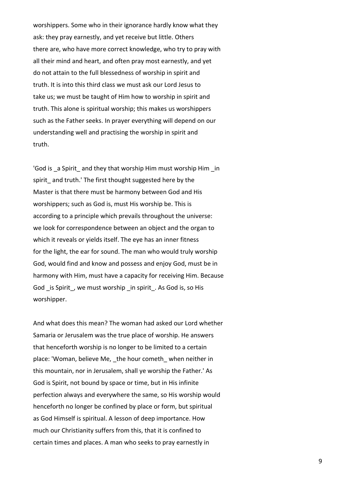worshippers. Some who in their ignorance hardly know what they ask: they pray earnestly, and yet receive but little. Others there are, who have more correct knowledge, who try to pray with all their mind and heart, and often pray most earnestly, and yet do not attain to the full blessedness of worship in spirit and truth. It is into this third class we must ask our Lord Jesus to take us; we must be taught of Him how to worship in spirit and truth. This alone is spiritual worship; this makes us worshippers such as the Father seeks. In prayer everything will depend on our understanding well and practising the worship in spirit and truth.

'God is a Spirit and they that worship Him must worship Him in spirit and truth.' The first thought suggested here by the Master is that there must be harmony between God and His worshippers; such as God is, must His worship be. This is according to a principle which prevails throughout the universe: we look for correspondence between an object and the organ to which it reveals or yields itself. The eye has an inner fitness for the light, the ear for sound. The man who would truly worship God, would find and know and possess and enjoy God, must be in harmony with Him, must have a capacity for receiving Him. Because God is Spirit, we must worship in spirit. As God is, so His worshipper.

And what does this mean? The woman had asked our Lord whether Samaria or Jerusalem was the true place of worship. He answers that henceforth worship is no longer to be limited to a certain place: 'Woman, believe Me, the hour cometh when neither in this mountain, nor in Jerusalem, shall ye worship the Father.' As God is Spirit, not bound by space or time, but in His infinite perfection always and everywhere the same, so His worship would henceforth no longer be confined by place or form, but spiritual as God Himself is spiritual. A lesson of deep importance. How much our Christianity suffers from this, that it is confined to certain times and places. A man who seeks to pray earnestly in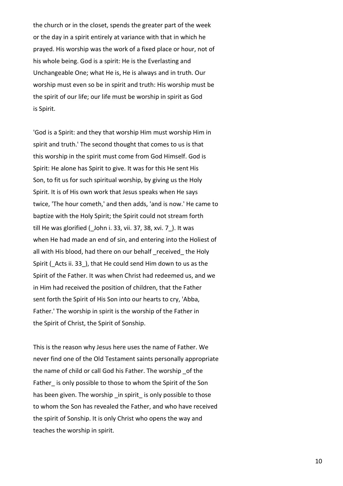the church or in the closet, spends the greater part of the week or the day in a spirit entirely at variance with that in which he prayed. His worship was the work of a fixed place or hour, not of his whole being. God is a spirit: He is the Everlasting and Unchangeable One; what He is, He is always and in truth. Our worship must even so be in spirit and truth: His worship must be the spirit of our life; our life must be worship in spirit as God is Spirit.

'God is a Spirit: and they that worship Him must worship Him in spirit and truth.' The second thought that comes to us is that this worship in the spirit must come from God Himself. God is Spirit: He alone has Spirit to give. It was for this He sent His Son, to fit us for such spiritual worship, by giving us the Holy Spirit. It is of His own work that Jesus speaks when He says twice, 'The hour cometh,' and then adds, 'and is now.' He came to baptize with the Holy Spirit; the Spirit could not stream forth till He was glorified (\_John i. 33, vii. 37, 38, xvi. 7\_). It was when He had made an end of sin, and entering into the Holiest of all with His blood, had there on our behalf received the Holy Spirit (Acts ii. 33), that He could send Him down to us as the Spirit of the Father. It was when Christ had redeemed us, and we in Him had received the position of children, that the Father sent forth the Spirit of His Son into our hearts to cry, 'Abba, Father.' The worship in spirit is the worship of the Father in the Spirit of Christ, the Spirit of Sonship.

This is the reason why Jesus here uses the name of Father. We never find one of the Old Testament saints personally appropriate the name of child or call God his Father. The worship of the Father is only possible to those to whom the Spirit of the Son has been given. The worship in spirit is only possible to those to whom the Son has revealed the Father, and who have received the spirit of Sonship. It is only Christ who opens the way and teaches the worship in spirit.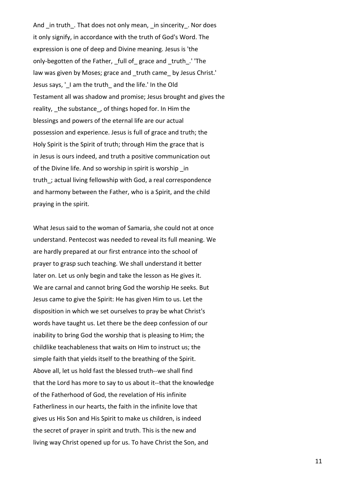And in truth. That does not only mean, in sincerity. Nor does it only signify, in accordance with the truth of God's Word. The expression is one of deep and Divine meaning. Jesus is 'the only-begotten of the Father, \_full of\_ grace and \_truth\_.' 'The law was given by Moses; grace and truth came by Jesus Christ.' Jesus says, '\_I am the truth\_ and the life.' In the Old Testament all was shadow and promise; Jesus brought and gives the reality, \_the substance\_, of things hoped for. In Him the blessings and powers of the eternal life are our actual possession and experience. Jesus is full of grace and truth; the Holy Spirit is the Spirit of truth; through Him the grace that is in Jesus is ours indeed, and truth a positive communication out of the Divine life. And so worship in spirit is worship in truth; actual living fellowship with God, a real correspondence and harmony between the Father, who is a Spirit, and the child praying in the spirit.

What Jesus said to the woman of Samaria, she could not at once understand. Pentecost was needed to reveal its full meaning. We are hardly prepared at our first entrance into the school of prayer to grasp such teaching. We shall understand it better later on. Let us only begin and take the lesson as He gives it. We are carnal and cannot bring God the worship He seeks. But Jesus came to give the Spirit: He has given Him to us. Let the disposition in which we set ourselves to pray be what Christ's words have taught us. Let there be the deep confession of our inability to bring God the worship that is pleasing to Him; the childlike teachableness that waits on Him to instruct us; the simple faith that yields itself to the breathing of the Spirit. Above all, let us hold fast the blessed truth--we shall find that the Lord has more to say to us about it--that the knowledge of the Fatherhood of God, the revelation of His infinite Fatherliness in our hearts, the faith in the infinite love that gives us His Son and His Spirit to make us children, is indeed the secret of prayer in spirit and truth. This is the new and living way Christ opened up for us. To have Christ the Son, and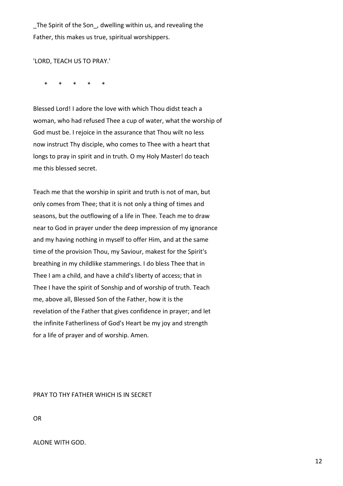The Spirit of the Son, dwelling within us, and revealing the Father, this makes us true, spiritual worshippers.

## 'LORD, TEACH US TO PRAY.'

\* \* \* \* \*

Blessed Lord! I adore the love with which Thou didst teach a woman, who had refused Thee a cup of water, what the worship of God must be. I rejoice in the assurance that Thou wilt no less now instruct Thy disciple, who comes to Thee with a heart that longs to pray in spirit and in truth. O my Holy Master! do teach me this blessed secret.

Teach me that the worship in spirit and truth is not of man, but only comes from Thee; that it is not only a thing of times and seasons, but the outflowing of a life in Thee. Teach me to draw near to God in prayer under the deep impression of my ignorance and my having nothing in myself to offer Him, and at the same time of the provision Thou, my Saviour, makest for the Spirit's breathing in my childlike stammerings. I do bless Thee that in Thee I am a child, and have a child's liberty of access; that in Thee I have the spirit of Sonship and of worship of truth. Teach me, above all, Blessed Son of the Father, how it is the revelation of the Father that gives confidence in prayer; and let the infinite Fatherliness of God's Heart be my joy and strength for a life of prayer and of worship. Amen.

PRAY TO THY FATHER WHICH IS IN SECRET

OR

## ALONE WITH GOD.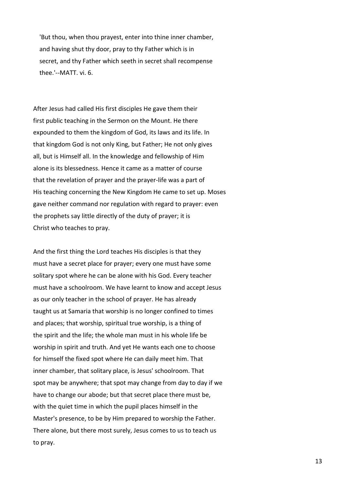'But thou, when thou prayest, enter into thine inner chamber, and having shut thy door, pray to thy Father which is in secret, and thy Father which seeth in secret shall recompense thee.'--MATT. vi. 6.

After Jesus had called His first disciples He gave them their first public teaching in the Sermon on the Mount. He there expounded to them the kingdom of God, its laws and its life. In that kingdom God is not only King, but Father; He not only gives all, but is Himself all. In the knowledge and fellowship of Him alone is its blessedness. Hence it came as a matter of course that the revelation of prayer and the prayer-life was a part of His teaching concerning the New Kingdom He came to set up. Moses gave neither command nor regulation with regard to prayer: even the prophets say little directly of the duty of prayer; it is Christ who teaches to pray.

And the first thing the Lord teaches His disciples is that they must have a secret place for prayer; every one must have some solitary spot where he can be alone with his God. Every teacher must have a schoolroom. We have learnt to know and accept Jesus as our only teacher in the school of prayer. He has already taught us at Samaria that worship is no longer confined to times and places; that worship, spiritual true worship, is a thing of the spirit and the life; the whole man must in his whole life be worship in spirit and truth. And yet He wants each one to choose for himself the fixed spot where He can daily meet him. That inner chamber, that solitary place, is Jesus' schoolroom. That spot may be anywhere; that spot may change from day to day if we have to change our abode; but that secret place there must be, with the quiet time in which the pupil places himself in the Master's presence, to be by Him prepared to worship the Father. There alone, but there most surely, Jesus comes to us to teach us to pray.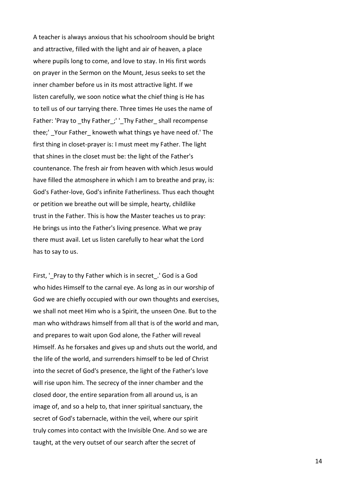A teacher is always anxious that his schoolroom should be bright and attractive, filled with the light and air of heaven, a place where pupils long to come, and love to stay. In His first words on prayer in the Sermon on the Mount, Jesus seeks to set the inner chamber before us in its most attractive light. If we listen carefully, we soon notice what the chief thing is He has to tell us of our tarrying there. Three times He uses the name of Father: 'Pray to thy Father;' ' Thy Father shall recompense thee;' Your Father knoweth what things ye have need of.' The first thing in closet-prayer is: I must meet my Father. The light that shines in the closet must be: the light of the Father's countenance. The fresh air from heaven with which Jesus would have filled the atmosphere in which I am to breathe and pray, is: God's Father-love, God's infinite Fatherliness. Thus each thought or petition we breathe out will be simple, hearty, childlike trust in the Father. This is how the Master teaches us to pray: He brings us into the Father's living presence. What we pray there must avail. Let us listen carefully to hear what the Lord has to say to us.

First, '\_Pray to thy Father which is in secret .' God is a God who hides Himself to the carnal eye. As long as in our worship of God we are chiefly occupied with our own thoughts and exercises, we shall not meet Him who is a Spirit, the unseen One. But to the man who withdraws himself from all that is of the world and man, and prepares to wait upon God alone, the Father will reveal Himself. As he forsakes and gives up and shuts out the world, and the life of the world, and surrenders himself to be led of Christ into the secret of God's presence, the light of the Father's love will rise upon him. The secrecy of the inner chamber and the closed door, the entire separation from all around us, is an image of, and so a help to, that inner spiritual sanctuary, the secret of God's tabernacle, within the veil, where our spirit truly comes into contact with the Invisible One. And so we are taught, at the very outset of our search after the secret of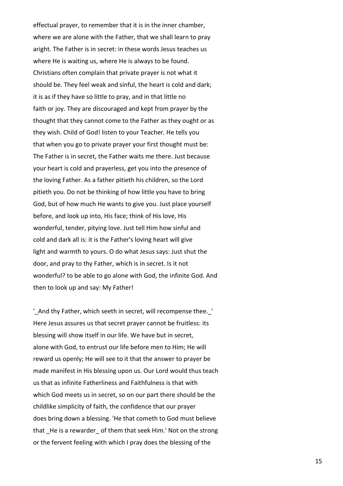effectual prayer, to remember that it is in the inner chamber, where we are alone with the Father, that we shall learn to pray aright. The Father is in secret: in these words Jesus teaches us where He is waiting us, where He is always to be found. Christians often complain that private prayer is not what it should be. They feel weak and sinful, the heart is cold and dark; it is as if they have so little to pray, and in that little no faith or joy. They are discouraged and kept from prayer by the thought that they cannot come to the Father as they ought or as they wish. Child of God! listen to your Teacher. He tells you that when you go to private prayer your first thought must be: The Father is in secret, the Father waits me there. Just because your heart is cold and prayerless, get you into the presence of the loving Father. As a father pitieth his children, so the Lord pitieth you. Do not be thinking of how little you have to bring God, but of how much He wants to give you. Just place yourself before, and look up into, His face; think of His love, His wonderful, tender, pitying love. Just tell Him how sinful and cold and dark all is: it is the Father's loving heart will give light and warmth to yours. O do what Jesus says: Just shut the door, and pray to thy Father, which is in secret. Is it not wonderful? to be able to go alone with God, the infinite God. And then to look up and say: My Father!

'\_And thy Father, which seeth in secret, will recompense thee.\_' Here Jesus assures us that secret prayer cannot be fruitless: its blessing will show itself in our life. We have but in secret, alone with God, to entrust our life before men to Him; He will reward us openly; He will see to it that the answer to prayer be made manifest in His blessing upon us. Our Lord would thus teach us that as infinite Fatherliness and Faithfulness is that with which God meets us in secret, so on our part there should be the childlike simplicity of faith, the confidence that our prayer does bring down a blessing. 'He that cometh to God must believe that He is a rewarder of them that seek Him.' Not on the strong or the fervent feeling with which I pray does the blessing of the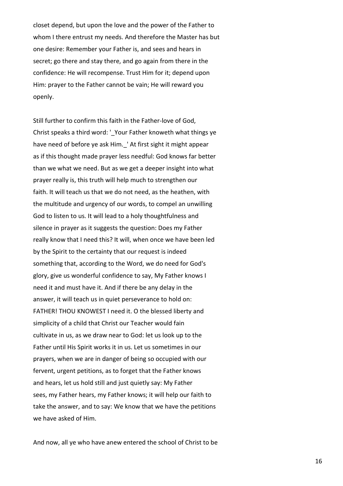closet depend, but upon the love and the power of the Father to whom I there entrust my needs. And therefore the Master has but one desire: Remember your Father is, and sees and hears in secret; go there and stay there, and go again from there in the confidence: He will recompense. Trust Him for it; depend upon Him: prayer to the Father cannot be vain; He will reward you openly.

Still further to confirm this faith in the Father-love of God, Christ speaks a third word: '\_Your Father knoweth what things ye have need of before ye ask Him. ' At first sight it might appear as if this thought made prayer less needful: God knows far better than we what we need. But as we get a deeper insight into what prayer really is, this truth will help much to strengthen our faith. It will teach us that we do not need, as the heathen, with the multitude and urgency of our words, to compel an unwilling God to listen to us. It will lead to a holy thoughtfulness and silence in prayer as it suggests the question: Does my Father really know that I need this? It will, when once we have been led by the Spirit to the certainty that our request is indeed something that, according to the Word, we do need for God's glory, give us wonderful confidence to say, My Father knows I need it and must have it. And if there be any delay in the answer, it will teach us in quiet perseverance to hold on: FATHER! THOU KNOWEST I need it. O the blessed liberty and simplicity of a child that Christ our Teacher would fain cultivate in us, as we draw near to God: let us look up to the Father until His Spirit works it in us. Let us sometimes in our prayers, when we are in danger of being so occupied with our fervent, urgent petitions, as to forget that the Father knows and hears, let us hold still and just quietly say: My Father sees, my Father hears, my Father knows; it will help our faith to take the answer, and to say: We know that we have the petitions we have asked of Him.

And now, all ye who have anew entered the school of Christ to be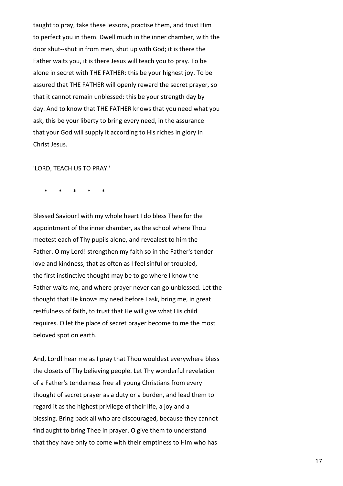taught to pray, take these lessons, practise them, and trust Him to perfect you in them. Dwell much in the inner chamber, with the door shut--shut in from men, shut up with God; it is there the Father waits you, it is there Jesus will teach you to pray. To be alone in secret with THE FATHER: this be your highest joy. To be assured that THE FATHER will openly reward the secret prayer, so that it cannot remain unblessed: this be your strength day by day. And to know that THE FATHER knows that you need what you ask, this be your liberty to bring every need, in the assurance that your God will supply it according to His riches in glory in Christ Jesus.

'LORD, TEACH US TO PRAY.'

\* \* \* \* \*

Blessed Saviour! with my whole heart I do bless Thee for the appointment of the inner chamber, as the school where Thou meetest each of Thy pupils alone, and revealest to him the Father. O my Lord! strengthen my faith so in the Father's tender love and kindness, that as often as I feel sinful or troubled, the first instinctive thought may be to go where I know the Father waits me, and where prayer never can go unblessed. Let the thought that He knows my need before I ask, bring me, in great restfulness of faith, to trust that He will give what His child requires. O let the place of secret prayer become to me the most beloved spot on earth.

And, Lord! hear me as I pray that Thou wouldest everywhere bless the closets of Thy believing people. Let Thy wonderful revelation of a Father's tenderness free all young Christians from every thought of secret prayer as a duty or a burden, and lead them to regard it as the highest privilege of their life, a joy and a blessing. Bring back all who are discouraged, because they cannot find aught to bring Thee in prayer. O give them to understand that they have only to come with their emptiness to Him who has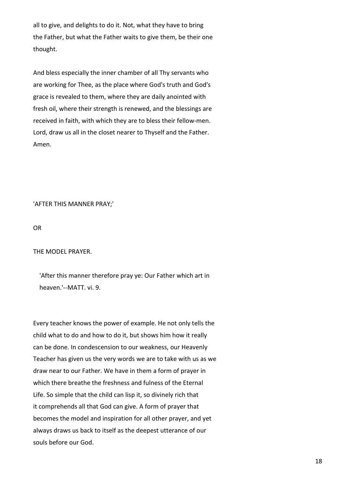all to give, and delights to do it. Not, what they have to bring the Father, but what the Father waits to give them, be their one thought.

And bless especially the inner chamber of all Thy servants who are working for Thee, as the place where God's truth and God's grace is revealed to them, where they are daily anointed with fresh oil, where their strength is renewed, and the blessings are received in faith, with which they are to bless their fellow-men. Lord, draw us all in the closet nearer to Thyself and the Father. Amen.

'AFTER THIS MANNER PRAY;'

OR

THE MODEL PRAYER.

 'After this manner therefore pray ye: Our Father which art in heaven.'--MATT. vi. 9.

Every teacher knows the power of example. He not only tells the child what to do and how to do it, but shows him how it really can be done. In condescension to our weakness, our Heavenly Teacher has given us the very words we are to take with us as we draw near to our Father. We have in them a form of prayer in which there breathe the freshness and fulness of the Eternal Life. So simple that the child can lisp it, so divinely rich that it comprehends all that God can give. A form of prayer that becomes the model and inspiration for all other prayer, and yet always draws us back to itself as the deepest utterance of our souls before our God.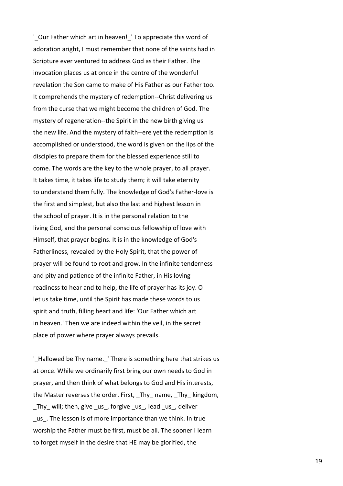'\_Our Father which art in heaven!\_' To appreciate this word of adoration aright, I must remember that none of the saints had in Scripture ever ventured to address God as their Father. The invocation places us at once in the centre of the wonderful revelation the Son came to make of His Father as our Father too. It comprehends the mystery of redemption--Christ delivering us from the curse that we might become the children of God. The mystery of regeneration--the Spirit in the new birth giving us the new life. And the mystery of faith--ere yet the redemption is accomplished or understood, the word is given on the lips of the disciples to prepare them for the blessed experience still to come. The words are the key to the whole prayer, to all prayer. It takes time, it takes life to study them; it will take eternity to understand them fully. The knowledge of God's Father-love is the first and simplest, but also the last and highest lesson in the school of prayer. It is in the personal relation to the living God, and the personal conscious fellowship of love with Himself, that prayer begins. It is in the knowledge of God's Fatherliness, revealed by the Holy Spirit, that the power of prayer will be found to root and grow. In the infinite tenderness and pity and patience of the infinite Father, in His loving readiness to hear and to help, the life of prayer has its joy. O let us take time, until the Spirit has made these words to us spirit and truth, filling heart and life: 'Our Father which art in heaven.' Then we are indeed within the veil, in the secret place of power where prayer always prevails.

'\_Hallowed be Thy name.\_' There is something here that strikes us at once. While we ordinarily first bring our own needs to God in prayer, and then think of what belongs to God and His interests, the Master reverses the order. First, Thy name, Thy kingdom, \_Thy\_ will; then, give \_us\_, forgive \_us\_, lead \_us\_, deliver \_us\_. The lesson is of more importance than we think. In true worship the Father must be first, must be all. The sooner I learn to forget myself in the desire that HE may be glorified, the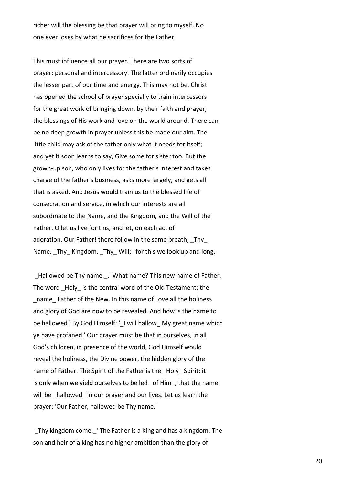richer will the blessing be that prayer will bring to myself. No one ever loses by what he sacrifices for the Father.

This must influence all our prayer. There are two sorts of prayer: personal and intercessory. The latter ordinarily occupies the lesser part of our time and energy. This may not be. Christ has opened the school of prayer specially to train intercessors for the great work of bringing down, by their faith and prayer, the blessings of His work and love on the world around. There can be no deep growth in prayer unless this be made our aim. The little child may ask of the father only what it needs for itself; and yet it soon learns to say, Give some for sister too. But the grown-up son, who only lives for the father's interest and takes charge of the father's business, asks more largely, and gets all that is asked. And Jesus would train us to the blessed life of consecration and service, in which our interests are all subordinate to the Name, and the Kingdom, and the Will of the Father. O let us live for this, and let, on each act of adoration, Our Father! there follow in the same breath, Thy Name, Thy Kingdom, Thy Will;--for this we look up and long.

'Hallowed be Thy name. .' What name? This new name of Father. The word Holy is the central word of the Old Testament; the name Father of the New. In this name of Love all the holiness and glory of God are now to be revealed. And how is the name to be hallowed? By God Himself: '\_I will hallow My great name which ye have profaned.' Our prayer must be that in ourselves, in all God's children, in presence of the world, God Himself would reveal the holiness, the Divine power, the hidden glory of the name of Father. The Spirit of the Father is the Holy Spirit: it is only when we yield ourselves to be led of Him, that the name will be hallowed in our prayer and our lives. Let us learn the prayer: 'Our Father, hallowed be Thy name.'

'\_Thy kingdom come.\_' The Father is a King and has a kingdom. The son and heir of a king has no higher ambition than the glory of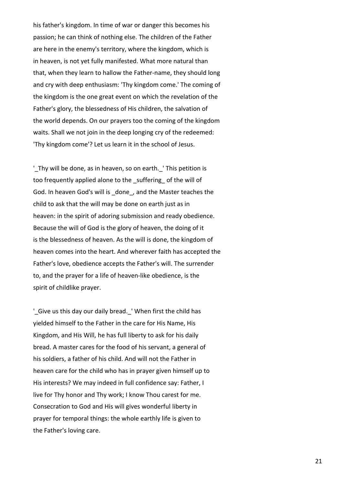his father's kingdom. In time of war or danger this becomes his passion; he can think of nothing else. The children of the Father are here in the enemy's territory, where the kingdom, which is in heaven, is not yet fully manifested. What more natural than that, when they learn to hallow the Father-name, they should long and cry with deep enthusiasm: 'Thy kingdom come.' The coming of the kingdom is the one great event on which the revelation of the Father's glory, the blessedness of His children, the salvation of the world depends. On our prayers too the coming of the kingdom waits. Shall we not join in the deep longing cry of the redeemed: 'Thy kingdom come'? Let us learn it in the school of Jesus.

'\_Thy will be done, as in heaven, so on earth.\_' This petition is too frequently applied alone to the suffering of the will of God. In heaven God's will is \_done\_, and the Master teaches the child to ask that the will may be done on earth just as in heaven: in the spirit of adoring submission and ready obedience. Because the will of God is the glory of heaven, the doing of it is the blessedness of heaven. As the will is done, the kingdom of heaven comes into the heart. And wherever faith has accepted the Father's love, obedience accepts the Father's will. The surrender to, and the prayer for a life of heaven-like obedience, is the spirit of childlike prayer.

'\_Give us this day our daily bread.\_' When first the child has yielded himself to the Father in the care for His Name, His Kingdom, and His Will, he has full liberty to ask for his daily bread. A master cares for the food of his servant, a general of his soldiers, a father of his child. And will not the Father in heaven care for the child who has in prayer given himself up to His interests? We may indeed in full confidence say: Father, I live for Thy honor and Thy work; I know Thou carest for me. Consecration to God and His will gives wonderful liberty in prayer for temporal things: the whole earthly life is given to the Father's loving care.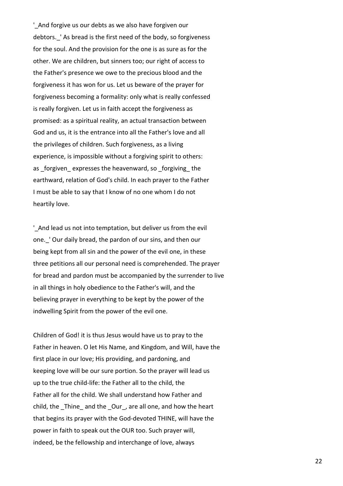'\_And forgive us our debts as we also have forgiven our debtors. 'As bread is the first need of the body, so forgiveness for the soul. And the provision for the one is as sure as for the other. We are children, but sinners too; our right of access to the Father's presence we owe to the precious blood and the forgiveness it has won for us. Let us beware of the prayer for forgiveness becoming a formality: only what is really confessed is really forgiven. Let us in faith accept the forgiveness as promised: as a spiritual reality, an actual transaction between God and us, it is the entrance into all the Father's love and all the privileges of children. Such forgiveness, as a living experience, is impossible without a forgiving spirit to others: as forgiven expresses the heavenward, so forgiving the earthward, relation of God's child. In each prayer to the Father I must be able to say that I know of no one whom I do not heartily love.

'\_And lead us not into temptation, but deliver us from the evil one. ' Our daily bread, the pardon of our sins, and then our being kept from all sin and the power of the evil one, in these three petitions all our personal need is comprehended. The prayer for bread and pardon must be accompanied by the surrender to live in all things in holy obedience to the Father's will, and the believing prayer in everything to be kept by the power of the indwelling Spirit from the power of the evil one.

Children of God! it is thus Jesus would have us to pray to the Father in heaven. O let His Name, and Kingdom, and Will, have the first place in our love; His providing, and pardoning, and keeping love will be our sure portion. So the prayer will lead us up to the true child-life: the Father all to the child, the Father all for the child. We shall understand how Father and child, the \_Thine\_ and the \_Our\_, are all one, and how the heart that begins its prayer with the God-devoted THINE, will have the power in faith to speak out the OUR too. Such prayer will, indeed, be the fellowship and interchange of love, always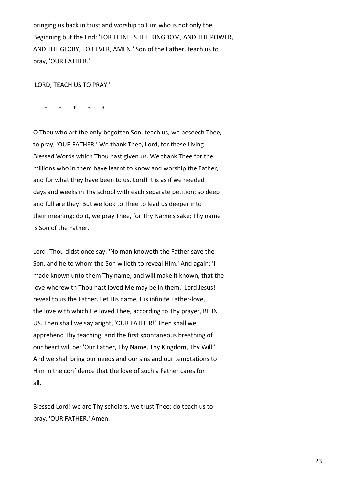bringing us back in trust and worship to Him who is not only the Beginning but the End: 'FOR THINE IS THE KINGDOM, AND THE POWER, AND THE GLORY, FOR EVER, AMEN.' Son of the Father, teach us to pray, 'OUR FATHER.'

'LORD, TEACH US TO PRAY.'

\* \* \* \* \*

O Thou who art the only-begotten Son, teach us, we beseech Thee, to pray, 'OUR FATHER.' We thank Thee, Lord, for these Living Blessed Words which Thou hast given us. We thank Thee for the millions who in them have learnt to know and worship the Father, and for what they have been to us. Lord! it is as if we needed days and weeks in Thy school with each separate petition; so deep and full are they. But we look to Thee to lead us deeper into their meaning: do it, we pray Thee, for Thy Name's sake; Thy name is Son of the Father.

Lord! Thou didst once say: 'No man knoweth the Father save the Son, and he to whom the Son willeth to reveal Him.' And again: 'I made known unto them Thy name, and will make it known, that the love wherewith Thou hast loved Me may be in them.' Lord Jesus! reveal to us the Father. Let His name, His infinite Father-love, the love with which He loved Thee, according to Thy prayer, BE IN US. Then shall we say aright, 'OUR FATHER!' Then shall we apprehend Thy teaching, and the first spontaneous breathing of our heart will be: 'Our Father, Thy Name, Thy Kingdom, Thy Will.' And we shall bring our needs and our sins and our temptations to Him in the confidence that the love of such a Father cares for all.

Blessed Lord! we are Thy scholars, we trust Thee; do teach us to pray, 'OUR FATHER.' Amen.